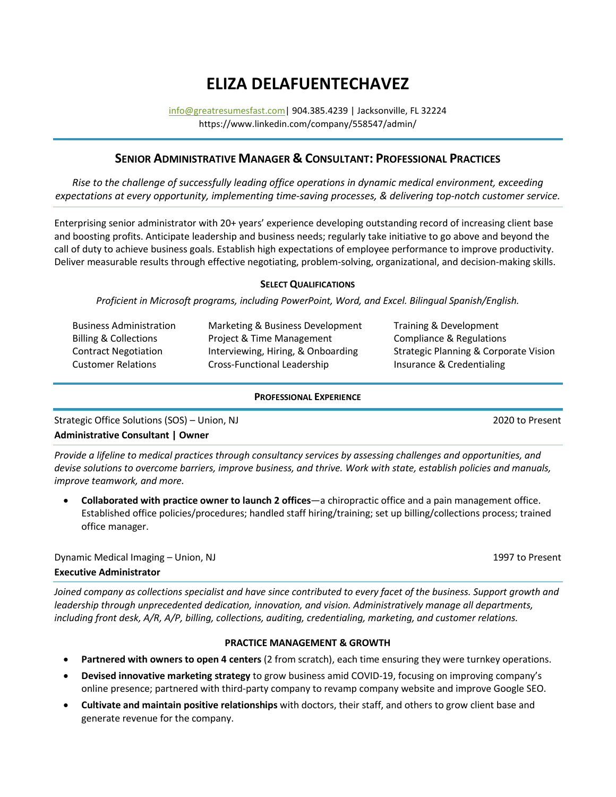# **ELIZA DELAFUENTECHAVEZ**

[info@greatresumesfast.com|](mailto:info@greatresumesfast.com) 904.385.4239 | Jacksonville, FL 32224 https://www.linkedin.com/company/558547/admin/

## **SENIOR ADMINISTRATIVE MANAGER & CONSULTANT: PROFESSIONAL PRACTICES**

*Rise to the challenge of successfully leading office operations in dynamic medical environment, exceeding expectations at every opportunity, implementing time-saving processes, & delivering top-notch customer service.*

Enterprising senior administrator with 20+ years' experience developing outstanding record of increasing client base and boosting profits. Anticipate leadership and business needs; regularly take initiative to go above and beyond the call of duty to achieve business goals. Establish high expectations of employee performance to improve productivity. Deliver measurable results through effective negotiating, problem-solving, organizational, and decision-making skills.

#### **SELECT QUALIFICATIONS**

*Proficient in Microsoft programs, including PowerPoint, Word, and Excel. Bilingual Spanish/English.*

| <b>Business Administration</b>   | Marketing & Business Development   | Training & Development                           |
|----------------------------------|------------------------------------|--------------------------------------------------|
| <b>Billing &amp; Collections</b> | Project & Time Management          | Compliance & Regulations                         |
| <b>Contract Negotiation</b>      | Interviewing, Hiring, & Onboarding | <b>Strategic Planning &amp; Corporate Vision</b> |
| <b>Customer Relations</b>        | Cross-Functional Leadership        | Insurance & Credentialing                        |
|                                  |                                    |                                                  |

#### **PROFESSIONAL EXPERIENCE**

Strategic Office Solutions (SOS) – Union, NJ 2020 to Present **Administrative Consultant | Owner**

*Provide a lifeline to medical practices through consultancy services by assessing challenges and opportunities, and devise solutions to overcome barriers, improve business, and thrive. Work with state, establish policies and manuals, improve teamwork, and more.*

• **Collaborated with practice owner to launch 2 offices**—a chiropractic office and a pain management office. Established office policies/procedures; handled staff hiring/training; set up billing/collections process; trained office manager.

Dynamic Medical Imaging – Union, NJ 1997 to Present

## **Executive Administrator**

*Joined company as collections specialist and have since contributed to every facet of the business. Support growth and leadership through unprecedented dedication, innovation, and vision. Administratively manage all departments, including front desk, A/R, A/P, billing, collections, auditing, credentialing, marketing, and customer relations.*

## **PRACTICE MANAGEMENT & GROWTH**

- **Partnered with owners to open 4 centers** (2 from scratch), each time ensuring they were turnkey operations.
- **Devised innovative marketing strategy** to grow business amid COVID-19, focusing on improving company's online presence; partnered with third-party company to revamp company website and improve Google SEO.
- **Cultivate and maintain positive relationships** with doctors, their staff, and others to grow client base and generate revenue for the company.